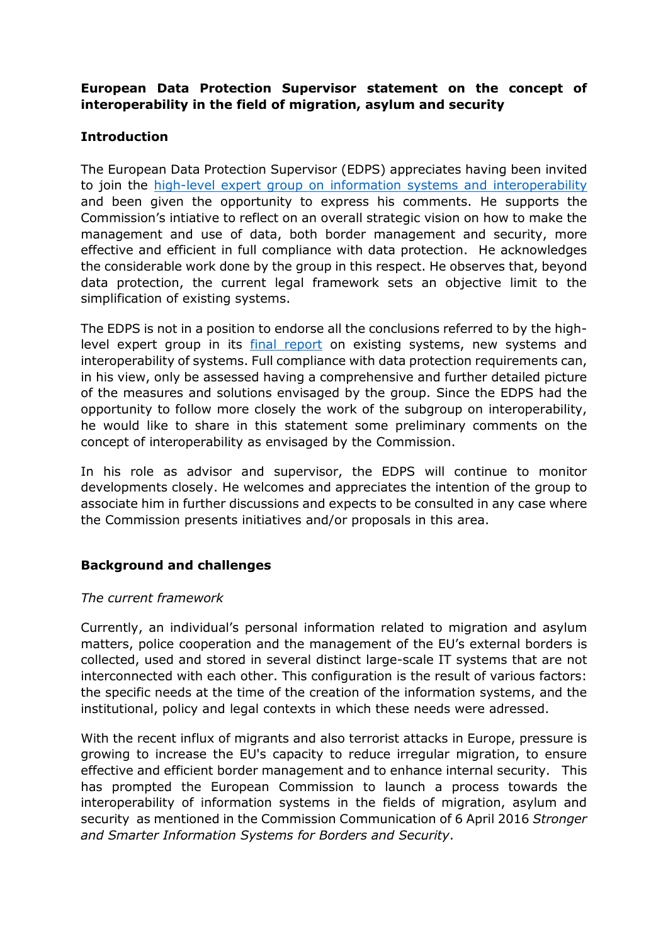# **European Data Protection Supervisor statement on the concept of interoperability in the field of migration, asylum and security**

# **Introduction**

The European Data Protection Supervisor (EDPS) appreciates having been invited to join the [high-level expert group on information systems and interoperability](http://ec.europa.eu/transparency/regexpert/index.cfm?do=groupDetail.groupDetail&groupID=3435&NewSearch=1&NewSearch=1) and been given the opportunity to express his comments. He supports the Commission's intiative to reflect on an overall strategic vision on how to make the management and use of data, both border management and security, more effective and efficient in full compliance with data protection. He acknowledges the considerable work done by the group in this respect. He observes that, beyond data protection, the current legal framework sets an objective limit to the simplification of existing systems.

The EDPS is not in a position to endorse all the conclusions referred to by the highlevel expert group in its **[final report](http://ec.europa.eu/transparency/regexpert/index.cfm?do=groupDetail.groupDetailDoc&id=32600&no=1)** on existing systems, new systems and interoperability of systems. Full compliance with data protection requirements can, in his view, only be assessed having a comprehensive and further detailed picture of the measures and solutions envisaged by the group. Since the EDPS had the opportunity to follow more closely the work of the subgroup on interoperability, he would like to share in this statement some preliminary comments on the concept of interoperability as envisaged by the Commission.

In his role as advisor and supervisor, the EDPS will continue to monitor developments closely. He welcomes and appreciates the intention of the group to associate him in further discussions and expects to be consulted in any case where the Commission presents initiatives and/or proposals in this area.

# **Background and challenges**

### *The current framework*

Currently, an individual's personal information related to migration and asylum matters, police cooperation and the management of the EU's external borders is collected, used and stored in several distinct large-scale IT systems that are not interconnected with each other. This configuration is the result of various factors: the specific needs at the time of the creation of the information systems, and the institutional, policy and legal contexts in which these needs were adressed.

With the recent influx of migrants and also terrorist attacks in Europe, pressure is growing to increase the EU's capacity to reduce irregular migration, to ensure effective and efficient border management and to enhance internal security. This has prompted the European Commission to launch a process towards the interoperability of information systems in the fields of migration, asylum and security as mentioned in the Commission Communication of 6 April 2016 *Stronger and Smarter Information Systems for Borders and Security*.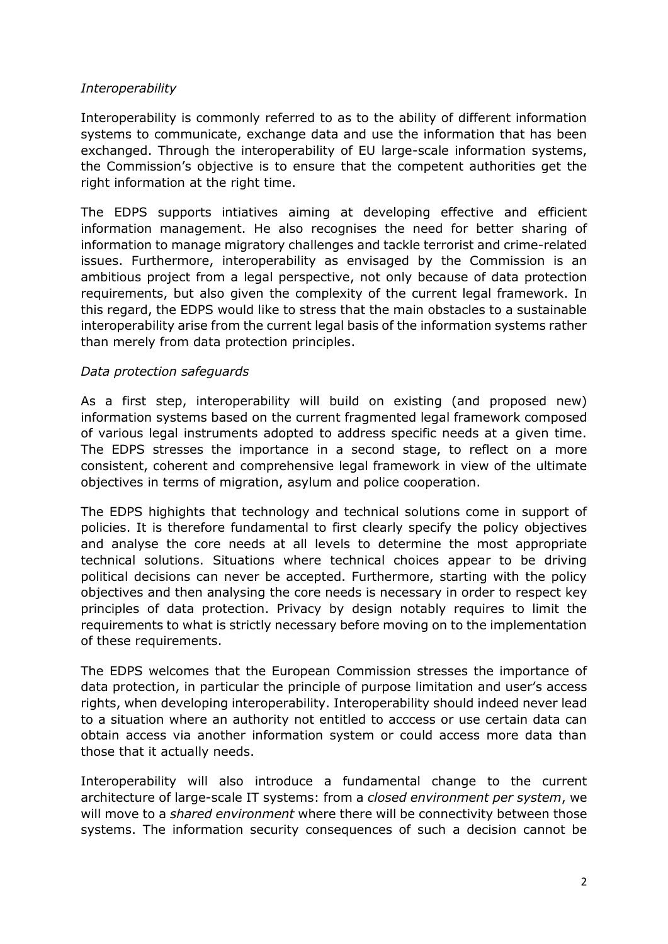### *Interoperability*

Interoperability is commonly referred to as to the ability of different information systems to communicate, exchange data and use the information that has been exchanged. Through the interoperability of EU large-scale information systems, the Commission's objective is to ensure that the competent authorities get the right information at the right time.

The EDPS supports intiatives aiming at developing effective and efficient information management. He also recognises the need for better sharing of information to manage migratory challenges and tackle terrorist and crime-related issues. Furthermore, interoperability as envisaged by the Commission is an ambitious project from a legal perspective, not only because of data protection requirements, but also given the complexity of the current legal framework. In this regard, the EDPS would like to stress that the main obstacles to a sustainable interoperability arise from the current legal basis of the information systems rather than merely from data protection principles.

### *Data protection safeguards*

As a first step, interoperability will build on existing (and proposed new) information systems based on the current fragmented legal framework composed of various legal instruments adopted to address specific needs at a given time. The EDPS stresses the importance in a second stage, to reflect on a more consistent, coherent and comprehensive legal framework in view of the ultimate objectives in terms of migration, asylum and police cooperation.

The EDPS highights that technology and technical solutions come in support of policies. It is therefore fundamental to first clearly specify the policy objectives and analyse the core needs at all levels to determine the most appropriate technical solutions. Situations where technical choices appear to be driving political decisions can never be accepted. Furthermore, starting with the policy objectives and then analysing the core needs is necessary in order to respect key principles of data protection. Privacy by design notably requires to limit the requirements to what is strictly necessary before moving on to the implementation of these requirements.

The EDPS welcomes that the European Commission stresses the importance of data protection, in particular the principle of purpose limitation and user's access rights, when developing interoperability. Interoperability should indeed never lead to a situation where an authority not entitled to acccess or use certain data can obtain access via another information system or could access more data than those that it actually needs.

Interoperability will also introduce a fundamental change to the current architecture of large-scale IT systems: from a *closed environment per system*, we will move to a *shared environment* where there will be connectivity between those systems. The information security consequences of such a decision cannot be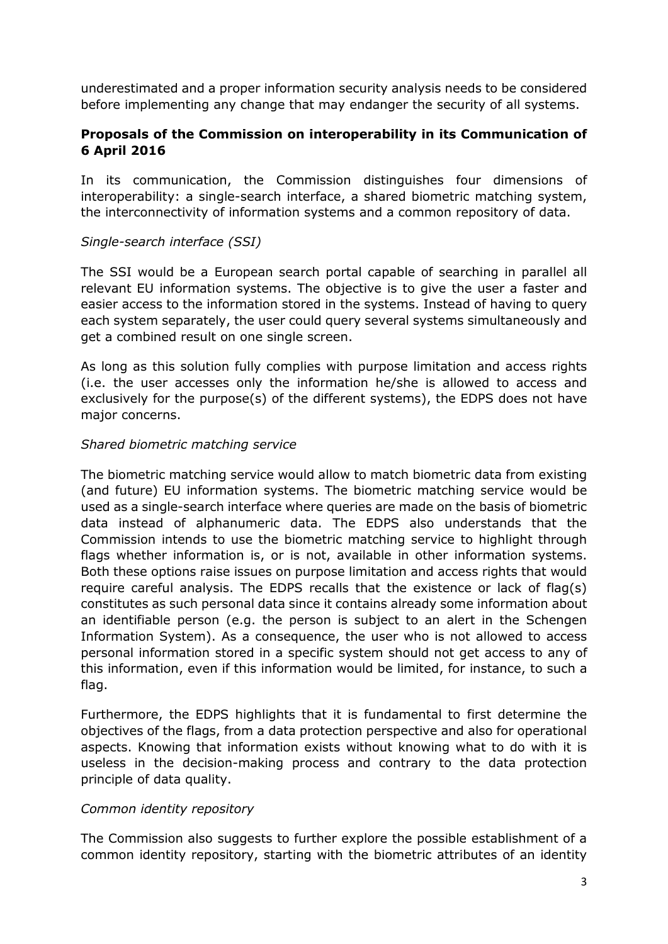underestimated and a proper information security analysis needs to be considered before implementing any change that may endanger the security of all systems.

# **Proposals of the Commission on interoperability in its Communication of 6 April 2016**

In its communication, the Commission distinguishes four dimensions of interoperability: a single-search interface, a shared biometric matching system, the interconnectivity of information systems and a common repository of data.

### *Single-search interface (SSI)*

The SSI would be a European search portal capable of searching in parallel all relevant EU information systems. The objective is to give the user a faster and easier access to the information stored in the systems. Instead of having to query each system separately, the user could query several systems simultaneously and get a combined result on one single screen.

As long as this solution fully complies with purpose limitation and access rights (i.e. the user accesses only the information he/she is allowed to access and exclusively for the purpose(s) of the different systems), the EDPS does not have major concerns.

### *Shared biometric matching service*

The biometric matching service would allow to match biometric data from existing (and future) EU information systems. The biometric matching service would be used as a single-search interface where queries are made on the basis of biometric data instead of alphanumeric data. The EDPS also understands that the Commission intends to use the biometric matching service to highlight through flags whether information is, or is not, available in other information systems. Both these options raise issues on purpose limitation and access rights that would require careful analysis. The EDPS recalls that the existence or lack of flag(s) constitutes as such personal data since it contains already some information about an identifiable person (e.g. the person is subject to an alert in the Schengen Information System). As a consequence, the user who is not allowed to access personal information stored in a specific system should not get access to any of this information, even if this information would be limited, for instance, to such a flag.

Furthermore, the EDPS highlights that it is fundamental to first determine the objectives of the flags, from a data protection perspective and also for operational aspects. Knowing that information exists without knowing what to do with it is useless in the decision-making process and contrary to the data protection principle of data quality.

### *Common identity repository*

The Commission also suggests to further explore the possible establishment of a common identity repository, starting with the biometric attributes of an identity